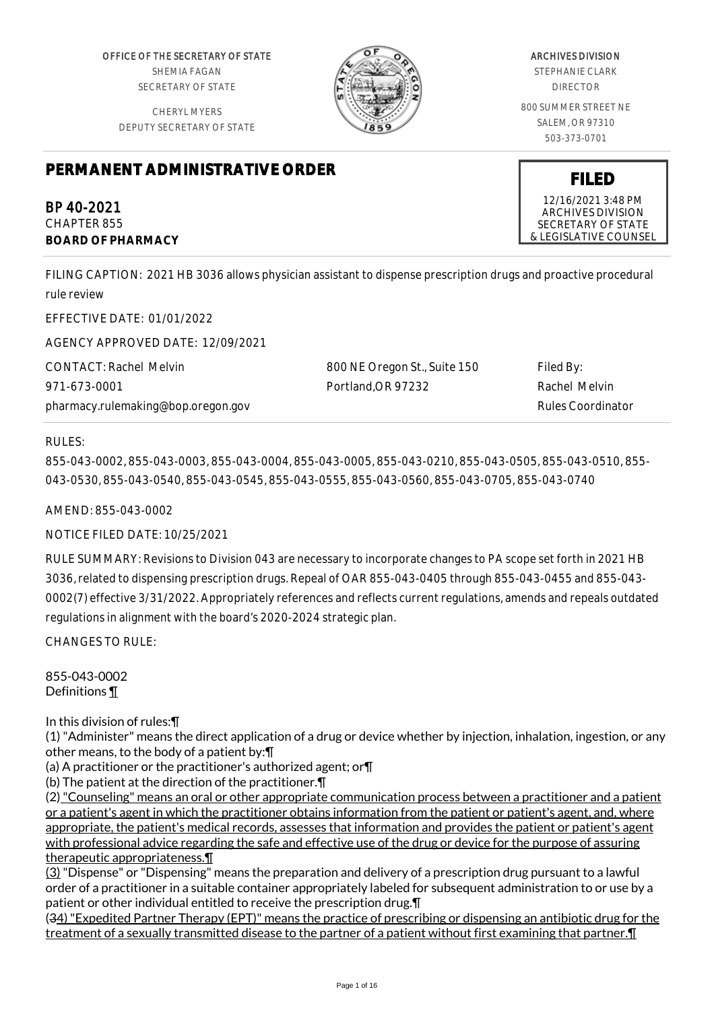OFFICE OF THE SECRETARY OF STATE SHEMIA FAGAN SECRETARY OF STATE

CHERYL MYERS DEPUTY SECRETARY OF STATE



# ARCHIVES DIVISION

STEPHANIE CLARK DIRECTOR

800 SUMMER STREET NE SALEM, OR 97310 503-373-0701

**FILED** 12/16/2021 3:48 PM ARCHIVES DIVISION SECRETARY OF STATE & LEGISLATIVE COUNSEL

# **PERMANENT ADMINISTRATIVE ORDER**

BP 40-2021 CHAPTER 855 **BOARD OF PHARMACY**

FILING CAPTION: 2021 HB 3036 allows physician assistant to dispense prescription drugs and proactive procedural rule review

EFFECTIVE DATE: 01/01/2022

AGENCY APPROVED DATE: 12/09/2021

CONTACT: Rachel Melvin 971-673-0001 pharmacy.rulemaking@bop.oregon.gov 800 NE Oregon St., Suite 150 Portland,OR 97232

Filed By: Rachel Melvin Rules Coordinator

RULES:

855-043-0002, 855-043-0003, 855-043-0004, 855-043-0005, 855-043-0210, 855-043-0505, 855-043-0510, 855- 043-0530, 855-043-0540, 855-043-0545, 855-043-0555, 855-043-0560, 855-043-0705, 855-043-0740

AMEND: 855-043-0002

NOTICE FILED DATE: 10/25/2021

RULE SUMMARY: Revisions to Division 043 are necessary to incorporate changes to PA scope set forth in 2021 HB 3036, related to dispensing prescription drugs. Repeal of OAR 855-043-0405 through 855-043-0455 and 855-043- 0002(7) effective 3/31/2022. Appropriately references and reflects current regulations, amends and repeals outdated regulations in alignment with the board's 2020-2024 strategic plan.

CHANGES TO RULE:

855-043-0002 Definitions ¶

In this division of rules:¶

(1) "Administer" means the direct application of a drug or device whether by injection, inhalation, ingestion, or any other means, to the body of a patient by:¶

(a) A practitioner or the practitioner's authorized agent; or¶

(b) The patient at the direction of the practitioner.¶

(2) "Counseling" means an oral or other appropriate communication process between a practitioner and a patient or a patient's agent in which the practitioner obtains information from the patient or patient's agent, and, where appropriate, the patient's medical records, assesses that information and provides the patient or patient's agent with professional advice regarding the safe and effective use of the drug or device for the purpose of assuring therapeutic appropriateness.¶

(3) "Dispense" or "Dispensing" means the preparation and delivery of a prescription drug pursuant to a lawful order of a practitioner in a suitable container appropriately labeled for subsequent administration to or use by a patient or other individual entitled to receive the prescription drug.¶

(34) "Expedited Partner Therapy (EPT)" means the practice of prescribing or dispensing an antibiotic drug for the treatment of a sexually transmitted disease to the partner of a patient without first examining that partner.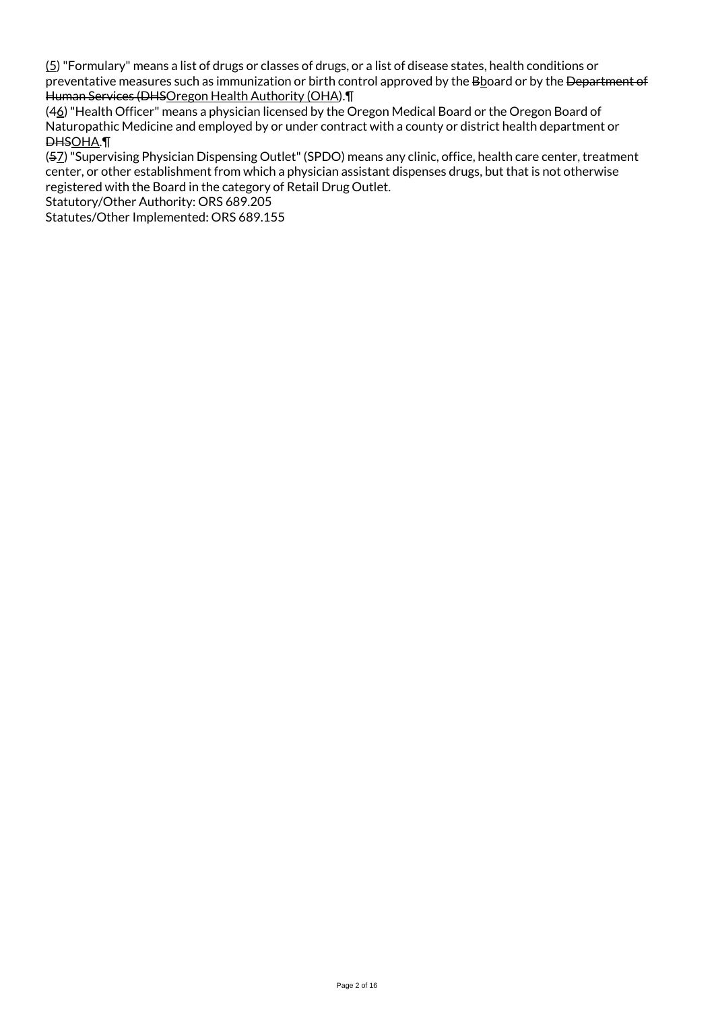(5) "Formulary" means a list of drugs or classes of drugs, or a list of disease states, health conditions or preventative measures such as immunization or birth control approved by the Bboard or by the Department of Human Services (DHSOregon Health Authority (OHA).¶

(46) "Health Officer" means a physician licensed by the Oregon Medical Board or the Oregon Board of Naturopathic Medicine and employed by or under contract with a county or district health department or DHSOHA.¶

(57) "Supervising Physician Dispensing Outlet" (SPDO) means any clinic, office, health care center, treatment center, or other establishment from which a physician assistant dispenses drugs, but that is not otherwise registered with the Board in the category of Retail Drug Outlet.

Statutory/Other Authority: ORS 689.205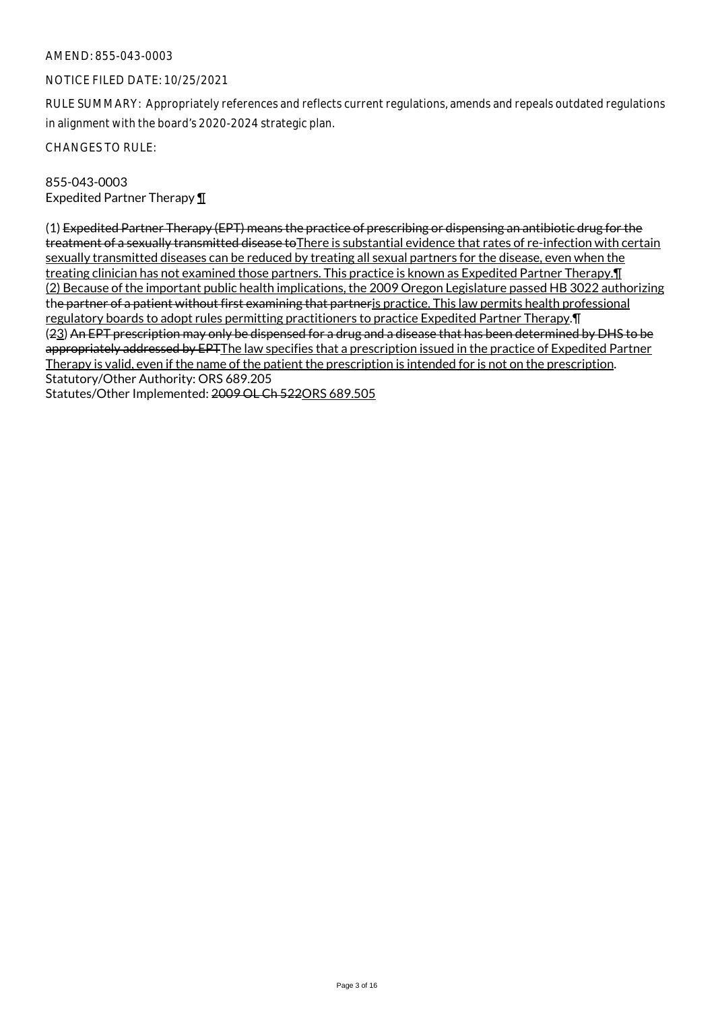## NOTICE FILED DATE: 10/25/2021

RULE SUMMARY: Appropriately references and reflects current regulations, amends and repeals outdated regulations in alignment with the board's 2020-2024 strategic plan.

CHANGES TO RULE:

# 855-043-0003 Expedited Partner Therapy ¶

(1) Expedited Partner Therapy (EPT) means the practice of prescribing or dispensing an antibiotic drug for the treatment of a sexually transmitted disease to There is substantial evidence that rates of re-infection with certain sexually transmitted diseases can be reduced by treating all sexual partners for the disease, even when the treating clinician has not examined those partners. This practice is known as Expedited Partner Therapy. I (2) Because of the important public health implications, the 2009 Oregon Legislature passed HB 3022 authorizing the partner of a patient without first examining that partner is practice. This law permits health professional regulatory boards to adopt rules permitting practitioners to practice Expedited Partner Therapy.¶ (23) An EPT prescription may only be dispensed for a drug and a disease that has been determined by DHS to be appropriately addressed by EPTThe law specifies that a prescription issued in the practice of Expedited Partner Therapy is valid, even if the name of the patient the prescription is intended for is not on the prescription. Statutory/Other Authority: ORS 689.205

Statutes/Other Implemented: 2009 OL Ch 522ORS 689.505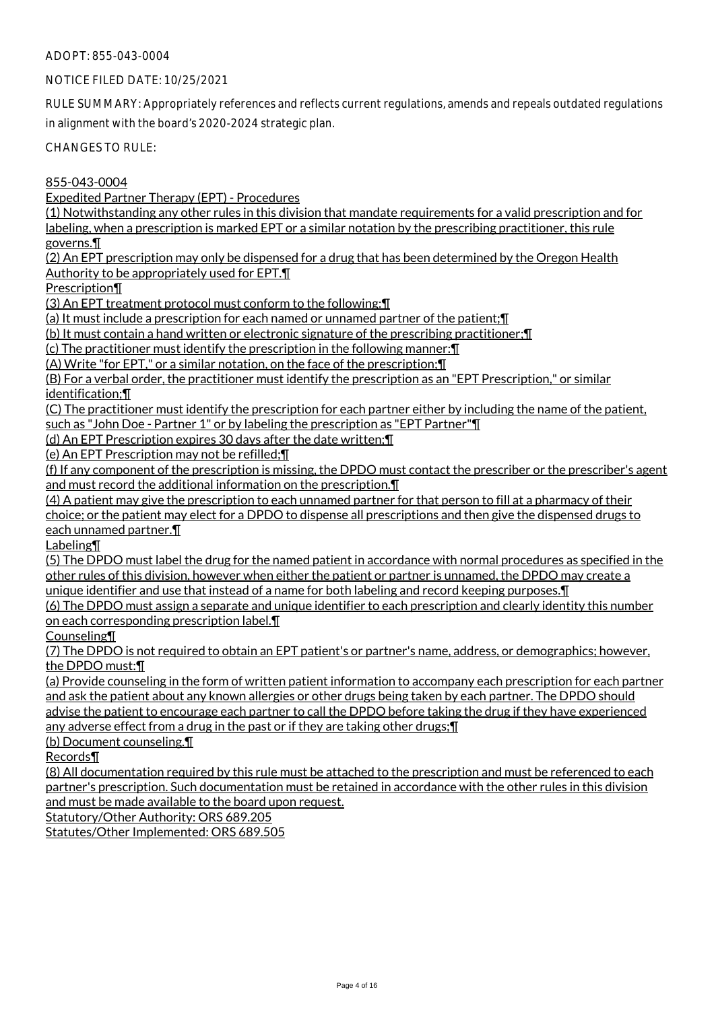# NOTICE FILED DATE: 10/25/2021

RULE SUMMARY: Appropriately references and reflects current regulations, amends and repeals outdated regulations in alignment with the board's 2020-2024 strategic plan.

CHANGES TO RULE:

855-043-0004

Expedited Partner Therapy (EPT) - Procedures

(1) Notwithstanding any other rules in this division that mandate requirements for a valid prescription and for labeling, when a prescription is marked EPT or a similar notation by the prescribing practitioner, this rule

governs.¶

(2) An EPT prescription may only be dispensed for a drug that has been determined by the Oregon Health Authority to be appropriately used for EPT.¶

Prescription¶

(3) An EPT treatment protocol must conform to the following:¶

(a) It must include a prescription for each named or unnamed partner of the patient;¶

(b) It must contain a hand written or electronic signature of the prescribing practitioner;¶

(c) The practitioner must identify the prescription in the following manner:¶

(A) Write "for EPT," or a similar notation, on the face of the prescription;¶

(B) For a verbal order, the practitioner must identify the prescription as an "EPT Prescription," or similar identification;¶

(C) The practitioner must identify the prescription for each partner either by including the name of the patient,

such as "John Doe - Partner 1" or by labeling the prescription as "EPT Partner"¶

(d) An EPT Prescription expires 30 days after the date written;¶

(e) An EPT Prescription may not be refilled;¶

(f) If any component of the prescription is missing, the DPDO must contact the prescriber or the prescriber's agent and must record the additional information on the prescription.¶

(4) A patient may give the prescription to each unnamed partner for that person to fill at a pharmacy of their choice; or the patient may elect for a DPDO to dispense all prescriptions and then give the dispensed drugs to each unnamed partner.¶

Labeling¶

(5) The DPDO must label the drug for the named patient in accordance with normal procedures as specified in the other rules of this division, however when either the patient or partner is unnamed, the DPDO may create a unique identifier and use that instead of a name for both labeling and record keeping purposes.¶

(6) The DPDO must assign a separate and unique identifier to each prescription and clearly identity this number on each corresponding prescription label.¶

Counseling¶

(7) The DPDO is not required to obtain an EPT patient's or partner's name, address, or demographics; however, the DPDO must:¶

(a) Provide counseling in the form of written patient information to accompany each prescription for each partner and ask the patient about any known allergies or other drugs being taken by each partner. The DPDO should advise the patient to encourage each partner to call the DPDO before taking the drug if they have experienced any adverse effect from a drug in the past or if they are taking other drugs;¶

(b) Document counseling.¶

Records¶

(8) All documentation required by this rule must be attached to the prescription and must be referenced to each partner's prescription. Such documentation must be retained in accordance with the other rules in this division and must be made available to the board upon request.

Statutory/Other Authority: ORS 689.205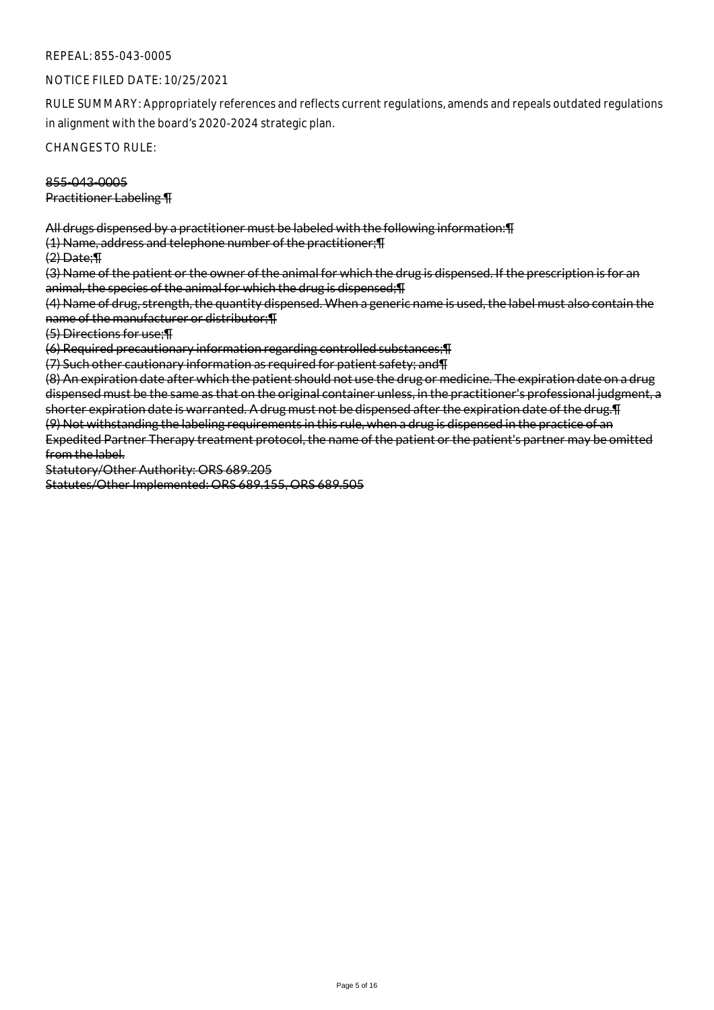## REPEAL: 855-043-0005

#### NOTICE FILED DATE: 10/25/2021

RULE SUMMARY: Appropriately references and reflects current regulations, amends and repeals outdated regulations in alignment with the board's 2020-2024 strategic plan.

CHANGES TO RULE:

#### 855-043-0005 Practitioner Labeling ¶

All drugs dispensed by a practitioner must be labeled with the following information:¶

(1) Name, address and telephone number of the practitioner;¶

 $(2)$  Date:  $\P$ 

(3) Name of the patient or the owner of the animal for which the drug is dispensed. If the prescription is for an animal, the species of the animal for which the drug is dispensed;¶

(4) Name of drug, strength, the quantity dispensed. When a generic name is used, the label must also contain the name of the manufacturer or distributor;¶

(5) Directions for use;¶

(6) Required precautionary information regarding controlled substances;¶

(7) Such other cautionary information as required for patient safety; and¶

(8) An expiration date after which the patient should not use the drug or medicine. The expiration date on a drug dispensed must be the same as that on the original container unless, in the practitioner's professional judgment, a shorter expiration date is warranted. A drug must not be dispensed after the expiration date of the drug.¶ (9) Not withstanding the labeling requirements in this rule, when a drug is dispensed in the practice of an Expedited Partner Therapy treatment protocol, the name of the patient or the patient's partner may be omitted from the label.

Statutory/Other Authority: ORS 689.205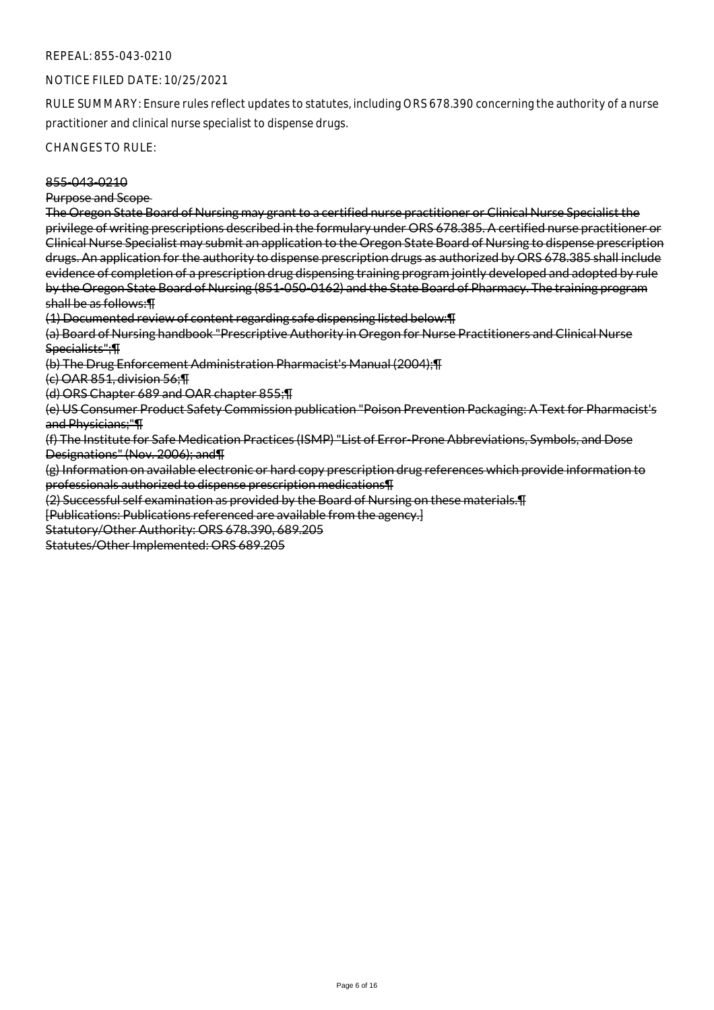#### REPEAL: 855-043-0210

#### NOTICE FILED DATE: 10/25/2021

RULE SUMMARY: Ensure rules reflect updates to statutes, including ORS 678.390 concerning the authority of a nurse practitioner and clinical nurse specialist to dispense drugs.

CHANGES TO RULE:

#### 855-043-0210

#### Purpose and Scope

The Oregon State Board of Nursing may grant to a certified nurse practitioner or Clinical Nurse Specialist the privilege of writing prescriptions described in the formulary under ORS 678.385. A certified nurse practitioner or Clinical Nurse Specialist may submit an application to the Oregon State Board of Nursing to dispense prescription drugs. An application for the authority to dispense prescription drugs as authorized by ORS 678.385 shall include evidence of completion of a prescription drug dispensing training program jointly developed and adopted by rule by the Oregon State Board of Nursing (851-050-0162) and the State Board of Pharmacy. The training program shall be as follows:¶

(1) Documented review of content regarding safe dispensing listed below:¶

(a) Board of Nursing handbook "Prescriptive Authority in Oregon for Nurse Practitioners and Clinical Nurse Specialists";¶

(b) The Drug Enforcement Administration Pharmacist's Manual (2004);¶

(c) OAR 851, division 56;¶

(d) ORS Chapter 689 and OAR chapter 855;¶

(e) US Consumer Product Safety Commission publication "Poison Prevention Packaging: A Text for Pharmacist's and Physicians;"¶

(f) The Institute for Safe Medication Practices (ISMP) "List of Error-Prone Abbreviations, Symbols, and Dose Designations" (Nov. 2006); and¶

(g) Information on available electronic or hard copy prescription drug references which provide information to professionals authorized to dispense prescription medications¶

(2) Successful self examination as provided by the Board of Nursing on these materials.¶

[Publications: Publications referenced are available from the agency.]

Statutory/Other Authority: ORS 678.390, 689.205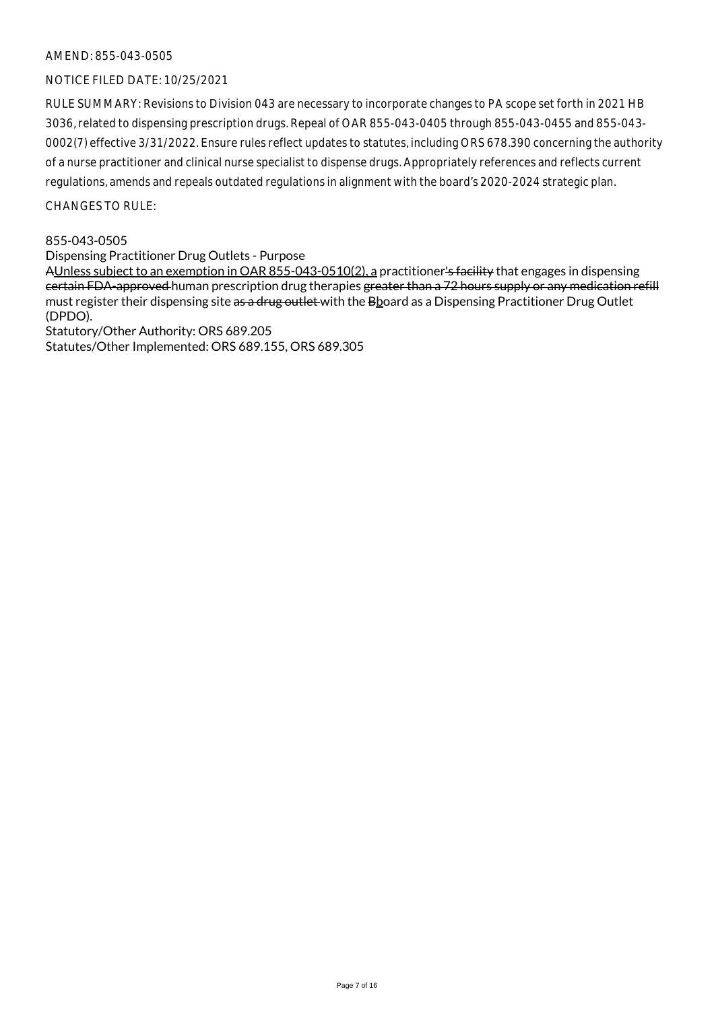# NOTICE FILED DATE: 10/25/2021

RULE SUMMARY: Revisions to Division 043 are necessary to incorporate changes to PA scope set forth in 2021 HB 3036, related to dispensing prescription drugs. Repeal of OAR 855-043-0405 through 855-043-0455 and 855-043- 0002(7) effective 3/31/2022. Ensure rules reflect updates to statutes, including ORS 678.390 concerning the authority of a nurse practitioner and clinical nurse specialist to dispense drugs. Appropriately references and reflects current regulations, amends and repeals outdated regulations in alignment with the board's 2020-2024 strategic plan.

#### $CHANGESTORUIF$

#### 855-043-0505

Dispensing Practitioner Drug Outlets - Purpose

AUnless subject to an exemption in OAR 855-043-0510(2), a practitioner's facility that engages in dispensing certain FDA-approved human prescription drug therapies greater than a 72 hours supply or any medication refill must register their dispensing site as a drug outlet with the Bboard as a Dispensing Practitioner Drug Outlet (DPDO).

Statutory/Other Authority: ORS 689.205 Statutes/Other Implemented: ORS 689.155, ORS 689.305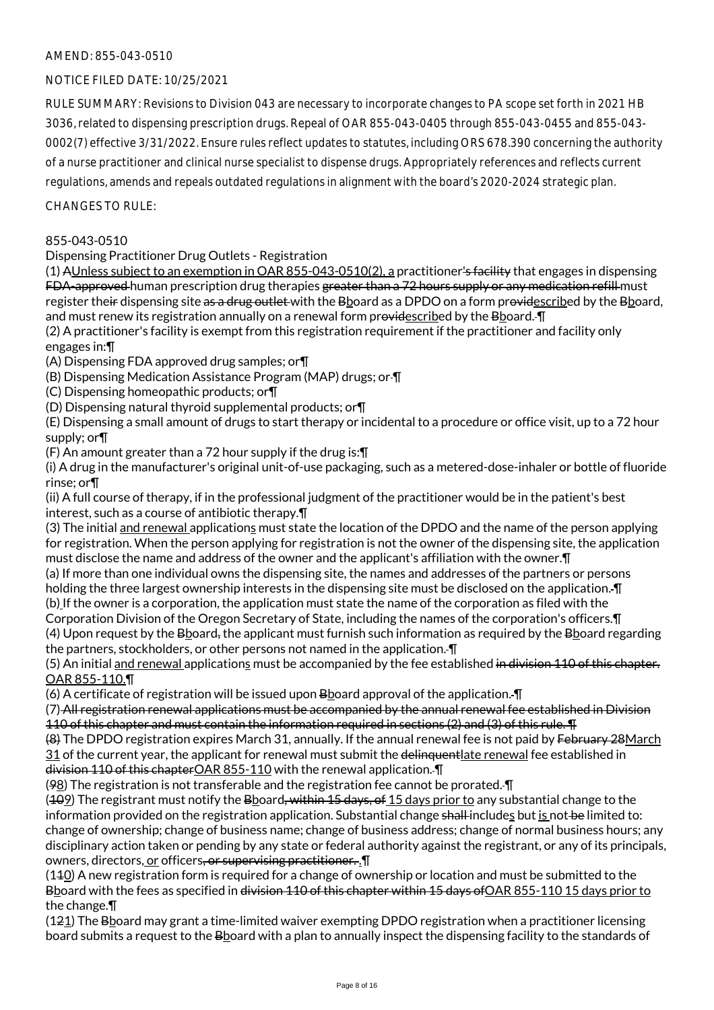# NOTICE FILED DATE: 10/25/2021

RULE SUMMARY: Revisions to Division 043 are necessary to incorporate changes to PA scope set forth in 2021 HB 3036, related to dispensing prescription drugs. Repeal of OAR 855-043-0405 through 855-043-0455 and 855-043- 0002(7) effective 3/31/2022. Ensure rules reflect updates to statutes, including ORS 678.390 concerning the authority of a nurse practitioner and clinical nurse specialist to dispense drugs. Appropriately references and reflects current regulations, amends and repeals outdated regulations in alignment with the board's 2020-2024 strategic plan.

 $CHANGESTORUIF$ 

#### 855-043-0510

Dispensing Practitioner Drug Outlets - Registration

(1) AUnless subject to an exemption in OAR 855-043-0510(2), a practitioner's facility that engages in dispensing FDA-approved human prescription drug therapies greater than a 72 hours supply or any medication refill must register their dispensing site as a drug outlet with the Bboard as a DPDO on a form providescribed by the Bboard, and must renew its registration annually on a renewal form providescribed by the Bboard. I

(2) A practitioner's facility is exempt from this registration requirement if the practitioner and facility only engages in:¶

(A) Dispensing FDA approved drug samples; or¶

(B) Dispensing Medication Assistance Program (MAP) drugs; or ¶

(C) Dispensing homeopathic products; or¶

(D) Dispensing natural thyroid supplemental products; or¶

(E) Dispensing a small amount of drugs to start therapy or incidental to a procedure or office visit, up to a 72 hour supply; or¶

(F) An amount greater than a 72 hour supply if the drug is:¶

(i) A drug in the manufacturer's original unit-of-use packaging, such as a metered-dose-inhaler or bottle of fluoride rinse; or¶

(ii) A full course of therapy, if in the professional judgment of the practitioner would be in the patient's best interest, such as a course of antibiotic therapy.¶

(3) The initial and renewal applications must state the location of the DPDO and the name of the person applying for registration. When the person applying for registration is not the owner of the dispensing site, the application must disclose the name and address of the owner and the applicant's affiliation with the owner.¶

(a) If more than one individual owns the dispensing site, the names and addresses of the partners or persons holding the three largest ownership interests in the dispensing site must be disclosed on the application. ¶

(b) If the owner is a corporation, the application must state the name of the corporation as filed with the

Corporation Division of the Oregon Secretary of State, including the names of the corporation's officers.¶ (4) Upon request by the  $B$ board, the applicant must furnish such information as required by the  $B$ board regarding the partners, stockholders, or other persons not named in the application. ¶

(5) An initial and renewal applications must be accompanied by the fee established in division 110 of this chapter. OAR 855-110.¶

(6) A certificate of registration will be issued upon Bboard approval of the application. ¶

(7) All registration renewal applications must be accompanied by the annual renewal fee established in Division 110 of this chapter and must contain the information required in sections (2) and (3) of this rule. ¶

(8) The DPDO registration expires March 31, annually. If the annual renewal fee is not paid by February 28March 31 of the current year, the applicant for renewal must submit the delinguentlate renewal fee established in division 110 of this chapterOAR 855-110 with the renewal application. ¶

(98) The registration is not transferable and the registration fee cannot be prorated. ¶

(409) The registrant must notify the Bboard, within 15 days, of 15 days prior to any substantial change to the information provided on the registration application. Substantial change shall includes but is not be limited to: change of ownership; change of business name; change of business address; change of normal business hours; any disciplinary action taken or pending by any state or federal authority against the registrant, or any of its principals, owners, directors, or officers, or supervising practitioner. . I

(110) A new registration form is required for a change of ownership or location and must be submitted to the Bboard with the fees as specified in <del>division 110 of this chapter within 15 days of</del> OAR 855-110 15 days prior to the change.¶

 $(121)$  The Bboard may grant a time-limited waiver exempting DPDO registration when a practitioner licensing board submits a request to the Bboard with a plan to annually inspect the dispensing facility to the standards of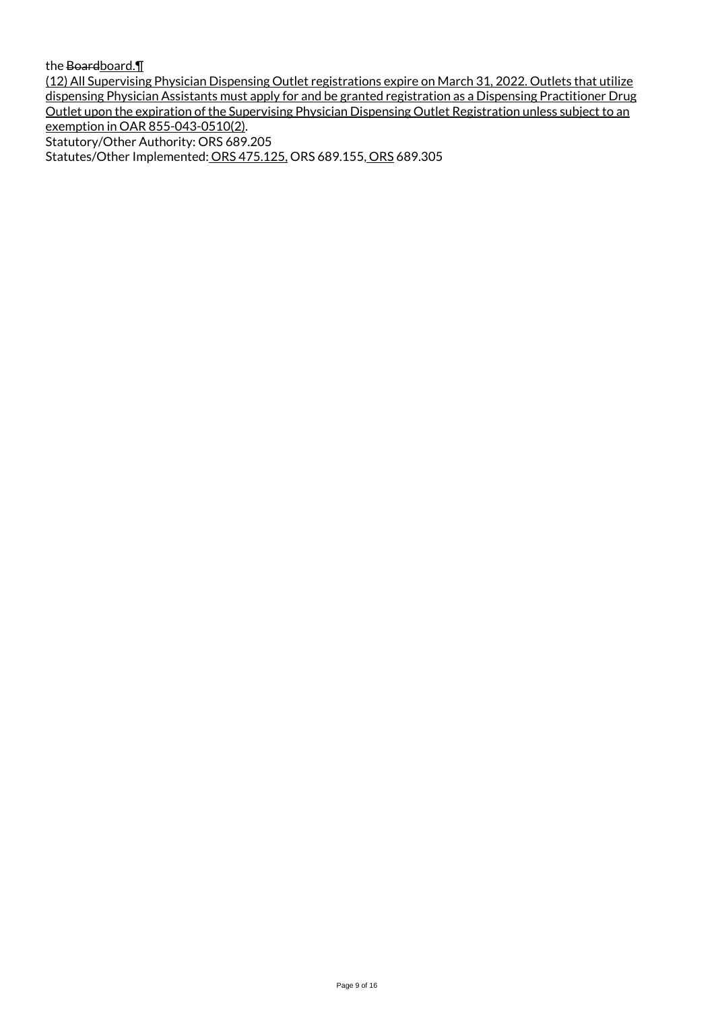the Boardboard.

(12) All Supervising Physician Dispensing Outlet registrations expire on March 31, 2022. Outlets that utilize dispensing Physician Assistants must apply for and be granted registration as a Dispensing Practitioner Drug Outlet upon the expiration of the Supervising Physician Dispensing Outlet Registration unless subject to an exemption in OAR 855-043-0510(2). Statutory/Other Authority: ORS 689.205

Statutes/Other Implemented: ORS 475.125, ORS 689.155, ORS 689.305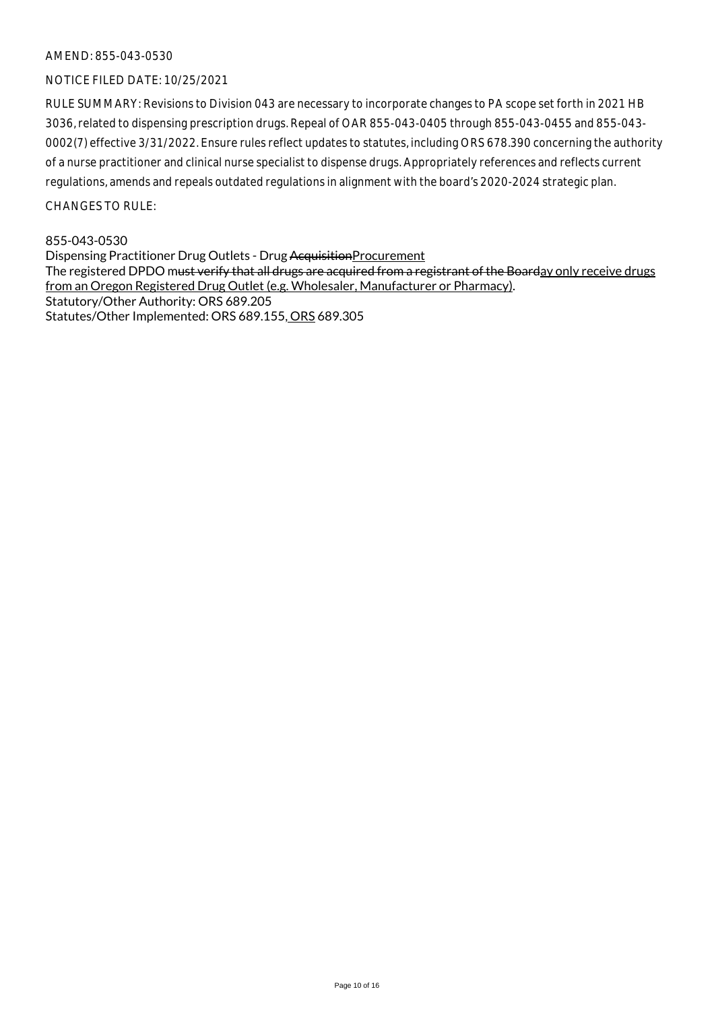# NOTICE FILED DATE: 10/25/2021

RULE SUMMARY: Revisions to Division 043 are necessary to incorporate changes to PA scope set forth in 2021 HB 3036, related to dispensing prescription drugs. Repeal of OAR 855-043-0405 through 855-043-0455 and 855-043- 0002(7) effective 3/31/2022. Ensure rules reflect updates to statutes, including ORS 678.390 concerning the authority of a nurse practitioner and clinical nurse specialist to dispense drugs. Appropriately references and reflects current regulations, amends and repeals outdated regulations in alignment with the board's 2020-2024 strategic plan.

 $CHANGESTORUIF$ 

#### 855-043-0530

Dispensing Practitioner Drug Outlets - Drug AcquisitionProcurement The registered DPDO m<del>ust verify that all drugs are acquired from a registrant of the Board</del>ay only receive drugs from an Oregon Registered Drug Outlet (e.g. Wholesaler, Manufacturer or Pharmacy). Statutory/Other Authority: ORS 689.205 Statutes/Other Implemented: ORS 689.155, ORS 689.305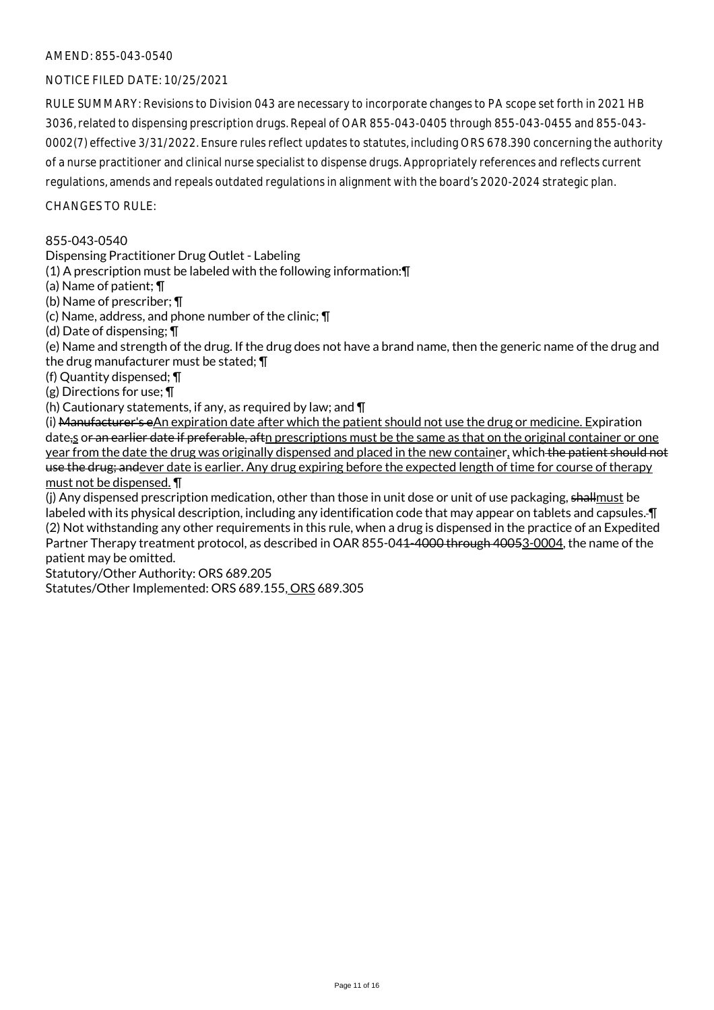# NOTICE FILED DATE: 10/25/2021

RULE SUMMARY: Revisions to Division 043 are necessary to incorporate changes to PA scope set forth in 2021 HB 3036, related to dispensing prescription drugs. Repeal of OAR 855-043-0405 through 855-043-0455 and 855-043- 0002(7) effective 3/31/2022. Ensure rules reflect updates to statutes, including ORS 678.390 concerning the authority of a nurse practitioner and clinical nurse specialist to dispense drugs. Appropriately references and reflects current regulations, amends and repeals outdated regulations in alignment with the board's 2020-2024 strategic plan.

 $CHANGFS TO RIIF$ 

#### 855-043-0540

Dispensing Practitioner Drug Outlet - Labeling

(1) A prescription must be labeled with the following information:¶

(a) Name of patient; ¶

(b) Name of prescriber; ¶

(c) Name, address, and phone number of the clinic; ¶

(d) Date of dispensing; ¶

(e) Name and strength of the drug. If the drug does not have a brand name, then the generic name of the drug and the drug manufacturer must be stated; ¶

(f) Quantity dispensed; ¶

(g) Directions for use; ¶

(h) Cautionary statements, if any, as required by law; and  $\P$ 

(i) Manufacturer's eAn expiration date after which the patient should not use the drug or medicine. Expiration date,s or an earlier date if preferable, aftn prescriptions must be the same as that on the original container or one year from the date the drug was originally dispensed and placed in the new container, which the patient should not use the drug; andever date is earlier. Any drug expiring before the expected length of time for course of therapy must not be dispensed. ¶

(j) Any dispensed prescription medication, other than those in unit dose or unit of use packaging, shallmust be labeled with its physical description, including any identification code that may appear on tablets and capsules. ¶ (2) Not withstanding any other requirements in this rule, when a drug is dispensed in the practice of an Expedited Partner Therapy treatment protocol, as described in OAR 855-041-4000 through 40053-0004, the name of the patient may be omitted.

Statutory/Other Authority: ORS 689.205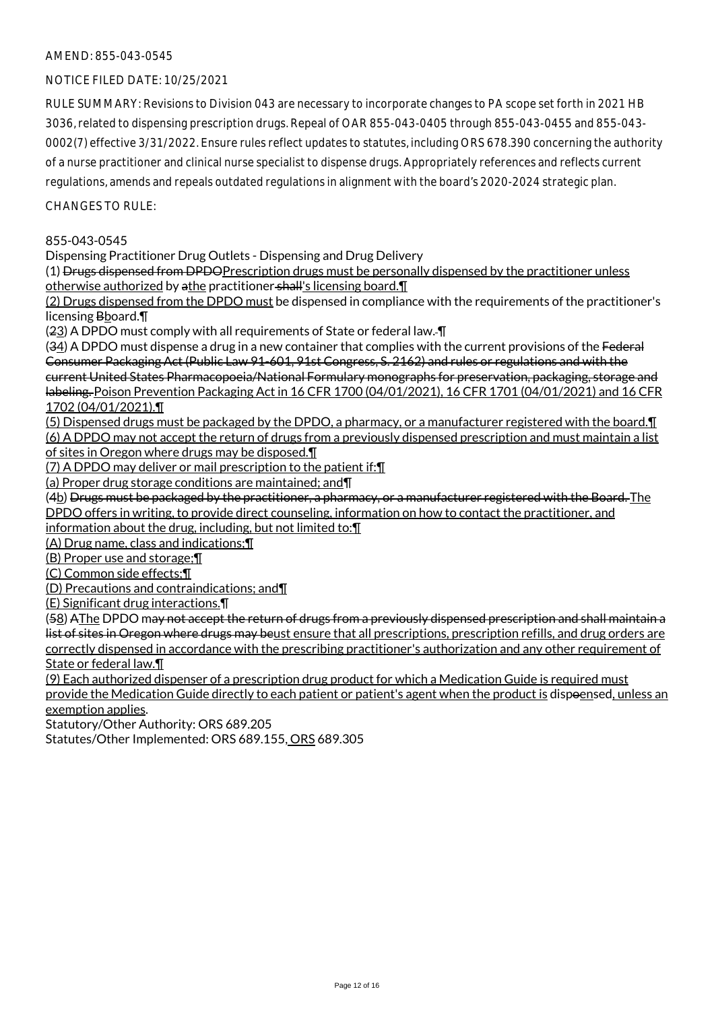# NOTICE FILED DATE: 10/25/2021

RULE SUMMARY: Revisions to Division 043 are necessary to incorporate changes to PA scope set forth in 2021 HB 3036, related to dispensing prescription drugs. Repeal of OAR 855-043-0405 through 855-043-0455 and 855-043- 0002(7) effective 3/31/2022. Ensure rules reflect updates to statutes, including ORS 678.390 concerning the authority of a nurse practitioner and clinical nurse specialist to dispense drugs. Appropriately references and reflects current regulations, amends and repeals outdated regulations in alignment with the board's 2020-2024 strategic plan.

 $CHANGESTORUIF$ 

#### 855-043-0545

Dispensing Practitioner Drug Outlets - Dispensing and Drug Delivery

(1) Drugs dispensed from DPDOPrescription drugs must be personally dispensed by the practitioner unless otherwise authorized by athe practitioner shall's licensing board.¶

(2) Drugs dispensed from the DPDO must be dispensed in compliance with the requirements of the practitioner's licensing Bboard.¶

(23) A DPDO must comply with all requirements of State or federal law. ¶

(34) A DPDO must dispense a drug in a new container that complies with the current provisions of the Federal Consumer Packaging Act (Public Law 91-601, 91st Congress, S. 2162) and rules or regulations and with the current United States Pharmacopoeia/National Formulary monographs for preservation, packaging, storage and labeling. Poison Prevention Packaging Act in 16 CFR 1700 (04/01/2021), 16 CFR 1701 (04/01/2021) and 16 CFR 1702 (04/01/2021).¶

(5) Dispensed drugs must be packaged by the DPDO, a pharmacy, or a manufacturer registered with the board.¶ (6) A DPDO may not accept the return of drugs from a previously dispensed prescription and must maintain a list

of sites in Oregon where drugs may be disposed.¶

(7) A DPDO may deliver or mail prescription to the patient if:¶

(a) Proper drug storage conditions are maintained; and¶

(4b) Drugs must be packaged by the practitioner, a pharmacy, or a manufacturer registered with the Board. The DPDO offers in writing, to provide direct counseling, information on how to contact the practitioner, and

information about the drug, including, but not limited to:¶

(A) Drug name, class and indications;¶

(B) Proper use and storage;¶

(C) Common side effects;¶

(D) Precautions and contraindications; and¶

(E) Significant drug interactions.¶

(58) AThe DPDO may not accept the return of drugs from a previously dispensed prescription and shall maintain a list of sites in Oregon where drugs may beust ensure that all prescriptions, prescription refills, and drug orders are correctly dispensed in accordance with the prescribing practitioner's authorization and any other requirement of State or federal law.¶

(9) Each authorized dispenser of a prescription drug product for which a Medication Guide is required must provide the Medication Guide directly to each patient or patient's agent when the product is dispoensed, unless an exemption applies.

Statutory/Other Authority: ORS 689.205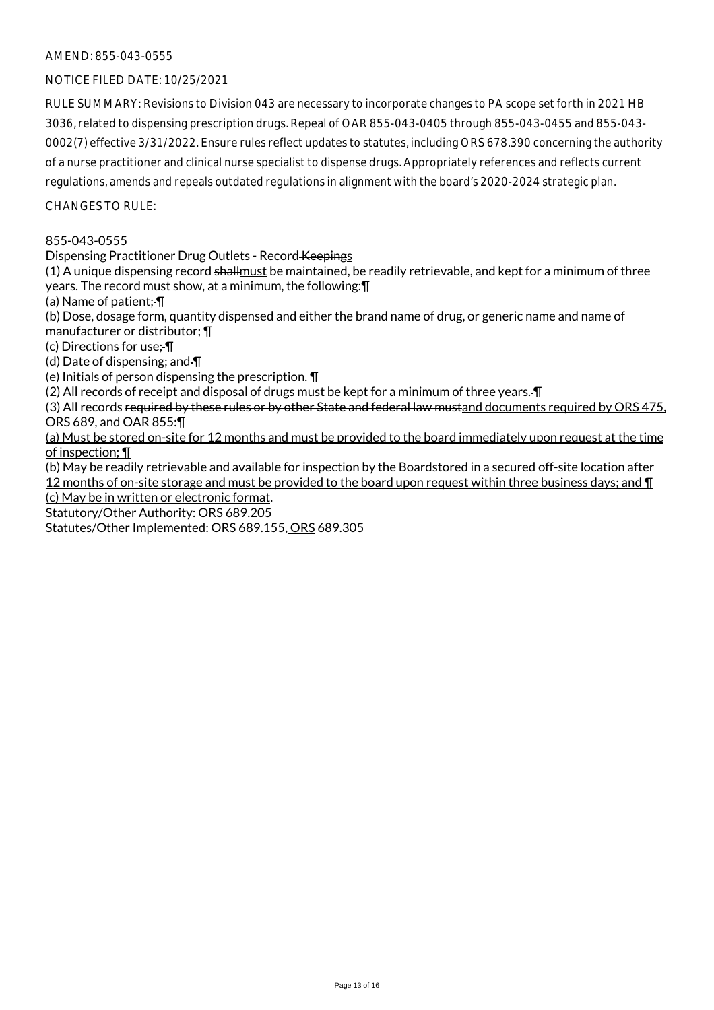# NOTICE FILED DATE: 10/25/2021

RULE SUMMARY: Revisions to Division 043 are necessary to incorporate changes to PA scope set forth in 2021 HB 3036, related to dispensing prescription drugs. Repeal of OAR 855-043-0405 through 855-043-0455 and 855-043- 0002(7) effective 3/31/2022. Ensure rules reflect updates to statutes, including ORS 678.390 concerning the authority of a nurse practitioner and clinical nurse specialist to dispense drugs. Appropriately references and reflects current regulations, amends and repeals outdated regulations in alignment with the board's 2020-2024 strategic plan.

 $CHANGESTORUIF$ 

#### 855-043-0555

Dispensing Practitioner Drug Outlets - Record Keepings

 $(1)$  A unique dispensing record shallmust be maintained, be readily retrievable, and kept for a minimum of three years. The record must show, at a minimum, the following:¶

(a) Name of patient; ¶

(b) Dose, dosage form, quantity dispensed and either the brand name of drug, or generic name and name of manufacturer or distributor; ¶

(c) Directions for use; ¶

(d) Date of dispensing; and ¶

(e) Initials of person dispensing the prescription. ¶

(2) All records of receipt and disposal of drugs must be kept for a minimum of three years. ¶

(3) All records required by these rules or by other State and federal law mustand documents required by ORS 475, ORS 689, and OAR 855:¶

(a) Must be stored on-site for 12 months and must be provided to the board immediately upon request at the time of inspection; ¶

(b) May be readily retrievable and available for inspection by the Boardstored in a secured off-site location after 12 months of on-site storage and must be provided to the board upon request within three business days; and  $\P$ (c) May be in written or electronic format.

Statutory/Other Authority: ORS 689.205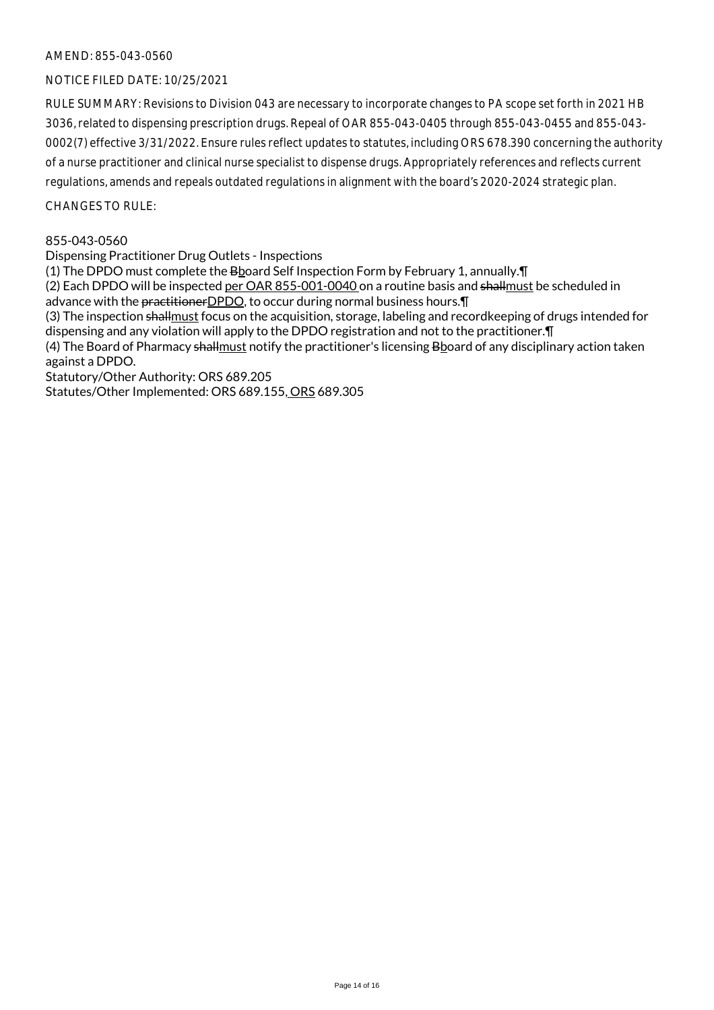# NOTICE FILED DATE: 10/25/2021

RULE SUMMARY: Revisions to Division 043 are necessary to incorporate changes to PA scope set forth in 2021 HB 3036, related to dispensing prescription drugs. Repeal of OAR 855-043-0405 through 855-043-0455 and 855-043- 0002(7) effective 3/31/2022. Ensure rules reflect updates to statutes, including ORS 678.390 concerning the authority of a nurse practitioner and clinical nurse specialist to dispense drugs. Appropriately references and reflects current regulations, amends and repeals outdated regulations in alignment with the board's 2020-2024 strategic plan.

 $CHANGESTORUIF$ 

#### 855-043-0560

Dispensing Practitioner Drug Outlets - Inspections

(1) The DPDO must complete the Bboard Self Inspection Form by February 1, annually.¶

(2) Each DPDO will be inspected per OAR 855-001-0040 on a routine basis and shallmust be scheduled in advance with the practitioner DPDO, to occur during normal business hours. [1]

(3) The inspection shallmust focus on the acquisition, storage, labeling and recordkeeping of drugs intended for dispensing and any violation will apply to the DPDO registration and not to the practitioner.¶

(4) The Board of Pharmacy shallmust notify the practitioner's licensing Bboard of any disciplinary action taken against a DPDO.

Statutory/Other Authority: ORS 689.205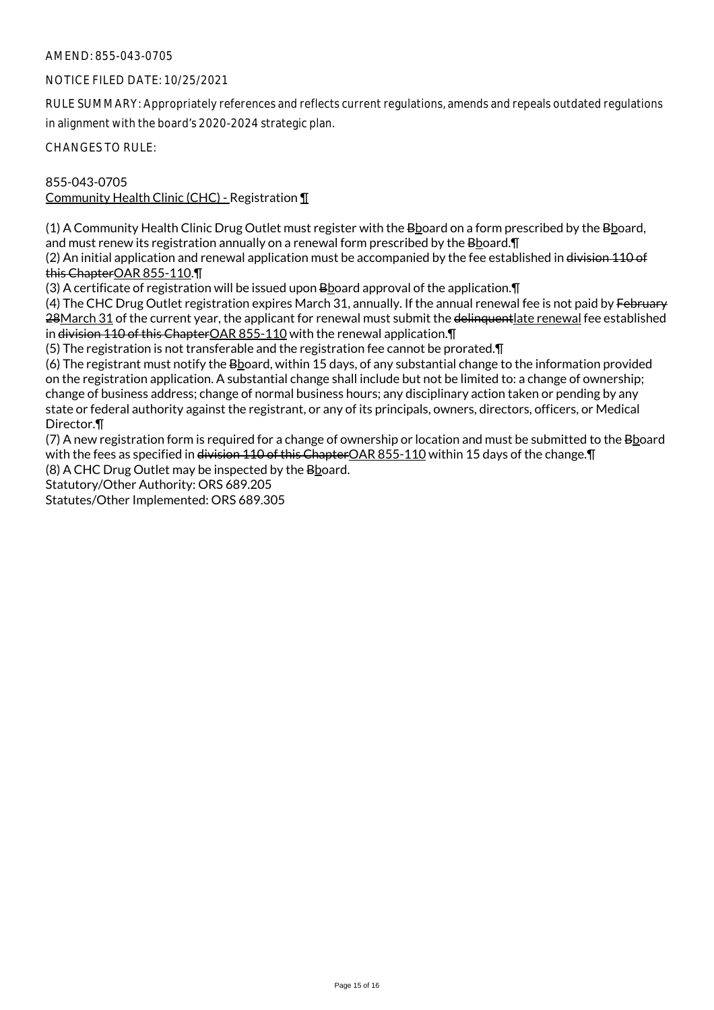# NOTICE FILED DATE: 10/25/2021

RULE SUMMARY: Appropriately references and reflects current regulations, amends and repeals outdated regulations in alignment with the board's 2020-2024 strategic plan.

CHANGES TO RULE:

855-043-0705 Community Health Clinic (CHC) - Registration ¶

(1) A Community Health Clinic Drug Outlet must register with the Bboard on a form prescribed by the Bboard, and must renew its registration annually on a renewal form prescribed by the  $B_{2}$  pard.  $\P$ 

(2) An initial application and renewal application must be accompanied by the fee established in division 110 of this ChapterOAR 855-110.¶

(3) A certificate of registration will be issued upon Bboard approval of the application.¶

(4) The CHC Drug Outlet registration expires March 31, annually. If the annual renewal fee is not paid by February 28March 31 of the current year, the applicant for renewal must submit the delinquentlate renewal fee established in division 110 of this Chapter OAR 855-110 with the renewal application. I

(5) The registration is not transferable and the registration fee cannot be prorated.¶

(6) The registrant must notify the Bboard, within 15 days, of any substantial change to the information provided on the registration application. A substantial change shall include but not be limited to: a change of ownership; change of business address; change of normal business hours; any disciplinary action taken or pending by any state or federal authority against the registrant, or any of its principals, owners, directors, officers, or Medical Director.¶

(7) A new registration form is required for a change of ownership or location and must be submitted to the Bboard with the fees as specified in <del>division 110 of this Chapter</del>OAR 855-110 within 15 days of the change. T

(8) A CHC Drug Outlet may be inspected by the Bboard.

Statutory/Other Authority: ORS 689.205